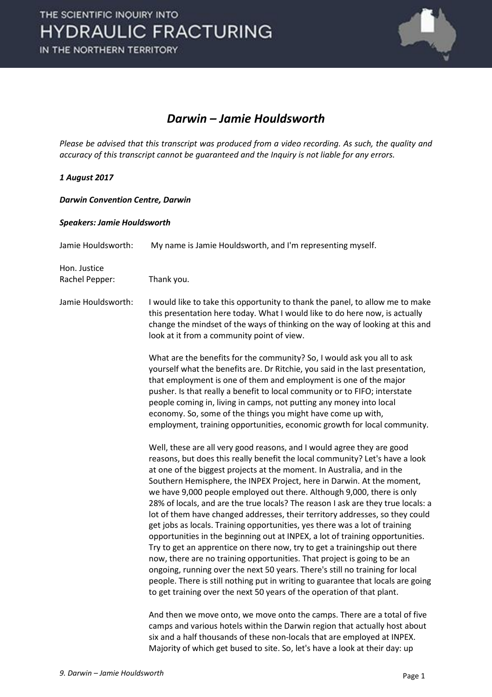

#### *Darwin – Jamie Houldsworth*

*Please be advised that this transcript was produced from a video recording. As such, the quality and accuracy of this transcript cannot be guaranteed and the Inquiry is not liable for any errors.*

#### *1 August 2017*

#### *Darwin Convention Centre, Darwin*

#### *Speakers: Jamie Houldsworth*

| Jamie Houldsworth:             | My name is Jamie Houldsworth, and I'm representing myself.                                                                                                                                                                                                                                                                                                                                                                                                                                                                                                                                                                                                                                                                                                                                                                                                                                                                                                                                                                                                                                                                       |
|--------------------------------|----------------------------------------------------------------------------------------------------------------------------------------------------------------------------------------------------------------------------------------------------------------------------------------------------------------------------------------------------------------------------------------------------------------------------------------------------------------------------------------------------------------------------------------------------------------------------------------------------------------------------------------------------------------------------------------------------------------------------------------------------------------------------------------------------------------------------------------------------------------------------------------------------------------------------------------------------------------------------------------------------------------------------------------------------------------------------------------------------------------------------------|
| Hon. Justice<br>Rachel Pepper: | Thank you.                                                                                                                                                                                                                                                                                                                                                                                                                                                                                                                                                                                                                                                                                                                                                                                                                                                                                                                                                                                                                                                                                                                       |
| Jamie Houldsworth:             | I would like to take this opportunity to thank the panel, to allow me to make<br>this presentation here today. What I would like to do here now, is actually<br>change the mindset of the ways of thinking on the way of looking at this and<br>look at it from a community point of view.                                                                                                                                                                                                                                                                                                                                                                                                                                                                                                                                                                                                                                                                                                                                                                                                                                       |
|                                | What are the benefits for the community? So, I would ask you all to ask<br>yourself what the benefits are. Dr Ritchie, you said in the last presentation,<br>that employment is one of them and employment is one of the major<br>pusher. Is that really a benefit to local community or to FIFO; interstate<br>people coming in, living in camps, not putting any money into local<br>economy. So, some of the things you might have come up with,<br>employment, training opportunities, economic growth for local community.                                                                                                                                                                                                                                                                                                                                                                                                                                                                                                                                                                                                  |
|                                | Well, these are all very good reasons, and I would agree they are good<br>reasons, but does this really benefit the local community? Let's have a look<br>at one of the biggest projects at the moment. In Australia, and in the<br>Southern Hemisphere, the INPEX Project, here in Darwin. At the moment,<br>we have 9,000 people employed out there. Although 9,000, there is only<br>28% of locals, and are the true locals? The reason I ask are they true locals: a<br>lot of them have changed addresses, their territory addresses, so they could<br>get jobs as locals. Training opportunities, yes there was a lot of training<br>opportunities in the beginning out at INPEX, a lot of training opportunities.<br>Try to get an apprentice on there now, try to get a trainingship out there<br>now, there are no training opportunities. That project is going to be an<br>ongoing, running over the next 50 years. There's still no training for local<br>people. There is still nothing put in writing to guarantee that locals are going<br>to get training over the next 50 years of the operation of that plant. |
|                                | And then we move onto, we move onto the camps. There are a total of five<br>camps and various hotels within the Darwin region that actually host about<br>six and a half thousands of these non-locals that are employed at INPEX.                                                                                                                                                                                                                                                                                                                                                                                                                                                                                                                                                                                                                                                                                                                                                                                                                                                                                               |

Majority of which get bused to site. So, let's have a look at their day: up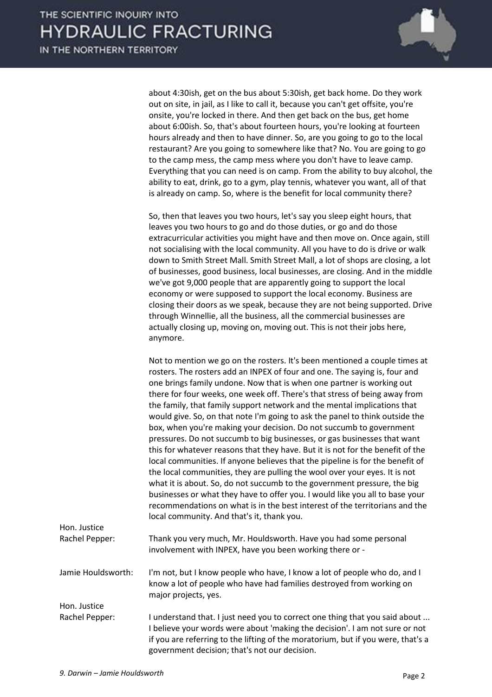

about 4:30ish, get on the bus about 5:30ish, get back home. Do they work out on site, in jail, as I like to call it, because you can't get offsite, you're onsite, you're locked in there. And then get back on the bus, get home about 6:00ish. So, that's about fourteen hours, you're looking at fourteen hours already and then to have dinner. So, are you going to go to the local restaurant? Are you going to somewhere like that? No. You are going to go to the camp mess, the camp mess where you don't have to leave camp. Everything that you can need is on camp. From the ability to buy alcohol, the ability to eat, drink, go to a gym, play tennis, whatever you want, all of that is already on camp. So, where is the benefit for local community there?

So, then that leaves you two hours, let's say you sleep eight hours, that leaves you two hours to go and do those duties, or go and do those extracurricular activities you might have and then move on. Once again, still not socialising with the local community. All you have to do is drive or walk down to Smith Street Mall. Smith Street Mall, a lot of shops are closing, a lot of businesses, good business, local businesses, are closing. And in the middle we've got 9,000 people that are apparently going to support the local economy or were supposed to support the local economy. Business are closing their doors as we speak, because they are not being supported. Drive through Winnellie, all the business, all the commercial businesses are actually closing up, moving on, moving out. This is not their jobs here, anymore.

Not to mention we go on the rosters. It's been mentioned a couple times at rosters. The rosters add an INPEX of four and one. The saying is, four and one brings family undone. Now that is when one partner is working out there for four weeks, one week off. There's that stress of being away from the family, that family support network and the mental implications that would give. So, on that note I'm going to ask the panel to think outside the box, when you're making your decision. Do not succumb to government pressures. Do not succumb to big businesses, or gas businesses that want this for whatever reasons that they have. But it is not for the benefit of the local communities. If anyone believes that the pipeline is for the benefit of the local communities, they are pulling the wool over your eyes. It is not what it is about. So, do not succumb to the government pressure, the big businesses or what they have to offer you. I would like you all to base your recommendations on what is in the best interest of the territorians and the local community. And that's it, thank you.

| Hon. Justice       |                                                                                                                                                                                                                                                                                                 |
|--------------------|-------------------------------------------------------------------------------------------------------------------------------------------------------------------------------------------------------------------------------------------------------------------------------------------------|
| Rachel Pepper:     | Thank you very much, Mr. Houldsworth. Have you had some personal<br>involvement with INPEX, have you been working there or -                                                                                                                                                                    |
| Jamie Houldsworth: | I'm not, but I know people who have, I know a lot of people who do, and I<br>know a lot of people who have had families destroyed from working on<br>major projects, yes.                                                                                                                       |
| Hon. Justice       |                                                                                                                                                                                                                                                                                                 |
| Rachel Pepper:     | I understand that. I just need you to correct one thing that you said about<br>I believe your words were about 'making the decision'. I am not sure or not<br>if you are referring to the lifting of the moratorium, but if you were, that's a<br>government decision; that's not our decision. |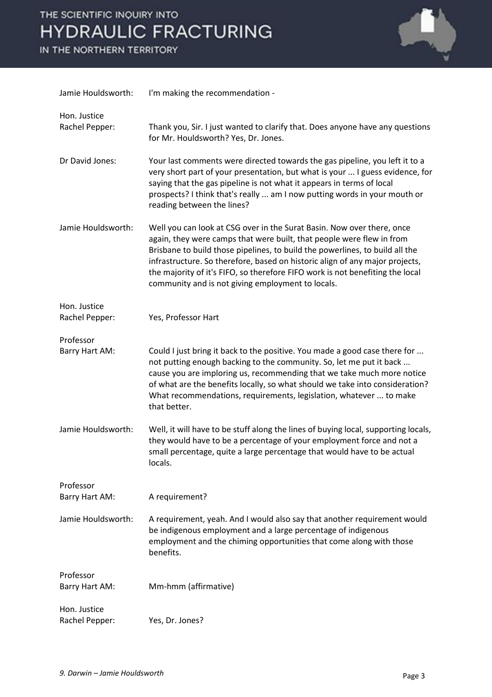

| Jamie Houldsworth:             | I'm making the recommendation -                                                                                                                                                                                                                                                                                                                                                                                                                       |
|--------------------------------|-------------------------------------------------------------------------------------------------------------------------------------------------------------------------------------------------------------------------------------------------------------------------------------------------------------------------------------------------------------------------------------------------------------------------------------------------------|
| Hon. Justice<br>Rachel Pepper: | Thank you, Sir. I just wanted to clarify that. Does anyone have any questions<br>for Mr. Houldsworth? Yes, Dr. Jones.                                                                                                                                                                                                                                                                                                                                 |
| Dr David Jones:                | Your last comments were directed towards the gas pipeline, you left it to a<br>very short part of your presentation, but what is your  I guess evidence, for<br>saying that the gas pipeline is not what it appears in terms of local<br>prospects? I think that's really  am I now putting words in your mouth or<br>reading between the lines?                                                                                                      |
| Jamie Houldsworth:             | Well you can look at CSG over in the Surat Basin. Now over there, once<br>again, they were camps that were built, that people were flew in from<br>Brisbane to build those pipelines, to build the powerlines, to build all the<br>infrastructure. So therefore, based on historic align of any major projects,<br>the majority of it's FIFO, so therefore FIFO work is not benefiting the local<br>community and is not giving employment to locals. |
| Hon. Justice<br>Rachel Pepper: | Yes, Professor Hart                                                                                                                                                                                                                                                                                                                                                                                                                                   |
| Professor                      |                                                                                                                                                                                                                                                                                                                                                                                                                                                       |
| Barry Hart AM:                 | Could I just bring it back to the positive. You made a good case there for<br>not putting enough backing to the community. So, let me put it back<br>cause you are imploring us, recommending that we take much more notice<br>of what are the benefits locally, so what should we take into consideration?<br>What recommendations, requirements, legislation, whatever  to make<br>that better.                                                     |
| Jamie Houldsworth:             | Well, it will have to be stuff along the lines of buying local, supporting locals,<br>they would have to be a percentage of your employment force and not a<br>small percentage, quite a large percentage that would have to be actual<br>locals.                                                                                                                                                                                                     |
| Professor                      |                                                                                                                                                                                                                                                                                                                                                                                                                                                       |
| Barry Hart AM:                 | A requirement?                                                                                                                                                                                                                                                                                                                                                                                                                                        |
| Jamie Houldsworth:             | A requirement, yeah. And I would also say that another requirement would<br>be indigenous employment and a large percentage of indigenous<br>employment and the chiming opportunities that come along with those<br>benefits.                                                                                                                                                                                                                         |
| Professor                      |                                                                                                                                                                                                                                                                                                                                                                                                                                                       |
| Barry Hart AM:                 | Mm-hmm (affirmative)                                                                                                                                                                                                                                                                                                                                                                                                                                  |
| Hon. Justice<br>Rachel Pepper: | Yes, Dr. Jones?                                                                                                                                                                                                                                                                                                                                                                                                                                       |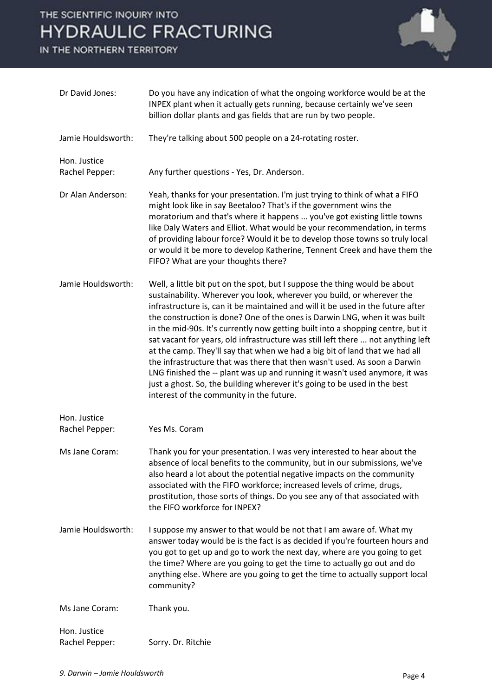

| Dr David Jones:                | Do you have any indication of what the ongoing workforce would be at the<br>INPEX plant when it actually gets running, because certainly we've seen<br>billion dollar plants and gas fields that are run by two people.                                                                                                                                                                                                                                                                                                                                                                                                                                                                                                                                                                                                                                          |
|--------------------------------|------------------------------------------------------------------------------------------------------------------------------------------------------------------------------------------------------------------------------------------------------------------------------------------------------------------------------------------------------------------------------------------------------------------------------------------------------------------------------------------------------------------------------------------------------------------------------------------------------------------------------------------------------------------------------------------------------------------------------------------------------------------------------------------------------------------------------------------------------------------|
| Jamie Houldsworth:             | They're talking about 500 people on a 24-rotating roster.                                                                                                                                                                                                                                                                                                                                                                                                                                                                                                                                                                                                                                                                                                                                                                                                        |
| Hon. Justice<br>Rachel Pepper: | Any further questions - Yes, Dr. Anderson.                                                                                                                                                                                                                                                                                                                                                                                                                                                                                                                                                                                                                                                                                                                                                                                                                       |
| Dr Alan Anderson:              | Yeah, thanks for your presentation. I'm just trying to think of what a FIFO<br>might look like in say Beetaloo? That's if the government wins the<br>moratorium and that's where it happens  you've got existing little towns<br>like Daly Waters and Elliot. What would be your recommendation, in terms<br>of providing labour force? Would it be to develop those towns so truly local<br>or would it be more to develop Katherine, Tennent Creek and have them the<br>FIFO? What are your thoughts there?                                                                                                                                                                                                                                                                                                                                                    |
| Jamie Houldsworth:             | Well, a little bit put on the spot, but I suppose the thing would be about<br>sustainability. Wherever you look, wherever you build, or wherever the<br>infrastructure is, can it be maintained and will it be used in the future after<br>the construction is done? One of the ones is Darwin LNG, when it was built<br>in the mid-90s. It's currently now getting built into a shopping centre, but it<br>sat vacant for years, old infrastructure was still left there  not anything left<br>at the camp. They'll say that when we had a big bit of land that we had all<br>the infrastructure that was there that then wasn't used. As soon a Darwin<br>LNG finished the -- plant was up and running it wasn't used anymore, it was<br>just a ghost. So, the building wherever it's going to be used in the best<br>interest of the community in the future. |
| Hon. Justice<br>Rachel Pepper: | Yes Ms. Coram                                                                                                                                                                                                                                                                                                                                                                                                                                                                                                                                                                                                                                                                                                                                                                                                                                                    |
| Ms Jane Coram:                 | Thank you for your presentation. I was very interested to hear about the<br>absence of local benefits to the community, but in our submissions, we've<br>also heard a lot about the potential negative impacts on the community<br>associated with the FIFO workforce; increased levels of crime, drugs,<br>prostitution, those sorts of things. Do you see any of that associated with<br>the FIFO workforce for INPEX?                                                                                                                                                                                                                                                                                                                                                                                                                                         |
| Jamie Houldsworth:             | I suppose my answer to that would be not that I am aware of. What my<br>answer today would be is the fact is as decided if you're fourteen hours and<br>you got to get up and go to work the next day, where are you going to get<br>the time? Where are you going to get the time to actually go out and do<br>anything else. Where are you going to get the time to actually support local<br>community?                                                                                                                                                                                                                                                                                                                                                                                                                                                       |
| Ms Jane Coram:                 | Thank you.                                                                                                                                                                                                                                                                                                                                                                                                                                                                                                                                                                                                                                                                                                                                                                                                                                                       |
| Hon. Justice<br>Rachel Pepper: | Sorry. Dr. Ritchie                                                                                                                                                                                                                                                                                                                                                                                                                                                                                                                                                                                                                                                                                                                                                                                                                                               |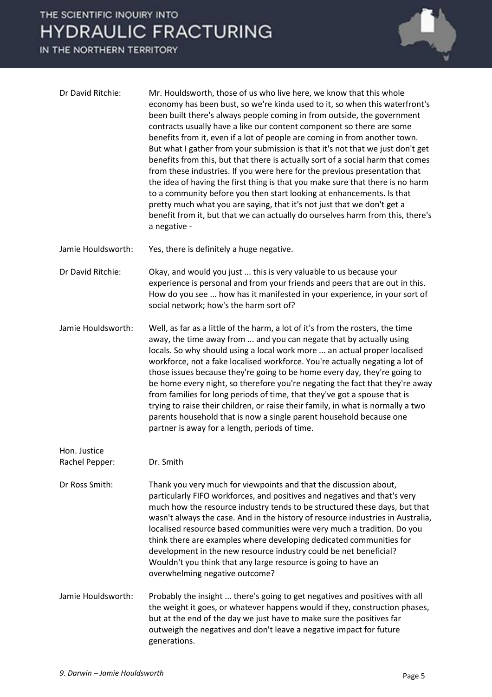

| Dr David Ritchie:              | Mr. Houldsworth, those of us who live here, we know that this whole<br>economy has been bust, so we're kinda used to it, so when this waterfront's<br>been built there's always people coming in from outside, the government<br>contracts usually have a like our content component so there are some<br>benefits from it, even if a lot of people are coming in from another town.<br>But what I gather from your submission is that it's not that we just don't get<br>benefits from this, but that there is actually sort of a social harm that comes<br>from these industries. If you were here for the previous presentation that<br>the idea of having the first thing is that you make sure that there is no harm<br>to a community before you then start looking at enhancements. Is that<br>pretty much what you are saying, that it's not just that we don't get a<br>benefit from it, but that we can actually do ourselves harm from this, there's<br>a negative - |
|--------------------------------|---------------------------------------------------------------------------------------------------------------------------------------------------------------------------------------------------------------------------------------------------------------------------------------------------------------------------------------------------------------------------------------------------------------------------------------------------------------------------------------------------------------------------------------------------------------------------------------------------------------------------------------------------------------------------------------------------------------------------------------------------------------------------------------------------------------------------------------------------------------------------------------------------------------------------------------------------------------------------------|
| Jamie Houldsworth:             | Yes, there is definitely a huge negative.                                                                                                                                                                                                                                                                                                                                                                                                                                                                                                                                                                                                                                                                                                                                                                                                                                                                                                                                       |
| Dr David Ritchie:              | Okay, and would you just  this is very valuable to us because your<br>experience is personal and from your friends and peers that are out in this.<br>How do you see  how has it manifested in your experience, in your sort of<br>social network; how's the harm sort of?                                                                                                                                                                                                                                                                                                                                                                                                                                                                                                                                                                                                                                                                                                      |
| Jamie Houldsworth:             | Well, as far as a little of the harm, a lot of it's from the rosters, the time<br>away, the time away from  and you can negate that by actually using<br>locals. So why should using a local work more  an actual proper localised<br>workforce, not a fake localised workforce. You're actually negating a lot of<br>those issues because they're going to be home every day, they're going to<br>be home every night, so therefore you're negating the fact that they're away<br>from families for long periods of time, that they've got a spouse that is<br>trying to raise their children, or raise their family, in what is normally a two<br>parents household that is now a single parent household because one<br>partner is away for a length, periods of time.                                                                                                                                                                                                       |
| Hon. Justice<br>Rachel Pepper: | Dr. Smith                                                                                                                                                                                                                                                                                                                                                                                                                                                                                                                                                                                                                                                                                                                                                                                                                                                                                                                                                                       |
| Dr Ross Smith:                 | Thank you very much for viewpoints and that the discussion about,<br>particularly FIFO workforces, and positives and negatives and that's very<br>much how the resource industry tends to be structured these days, but that<br>wasn't always the case. And in the history of resource industries in Australia,<br>localised resource based communities were very much a tradition. Do you<br>think there are examples where developing dedicated communities for<br>development in the new resource industry could be net beneficial?<br>Wouldn't you think that any large resource is going to have an<br>overwhelming negative outcome?                                                                                                                                                                                                                                                                                                                                      |
| Jamie Houldsworth:             | Probably the insight  there's going to get negatives and positives with all<br>the weight it goes, or whatever happens would if they, construction phases,<br>but at the end of the day we just have to make sure the positives far<br>outweigh the negatives and don't leave a negative impact for future<br>generations.                                                                                                                                                                                                                                                                                                                                                                                                                                                                                                                                                                                                                                                      |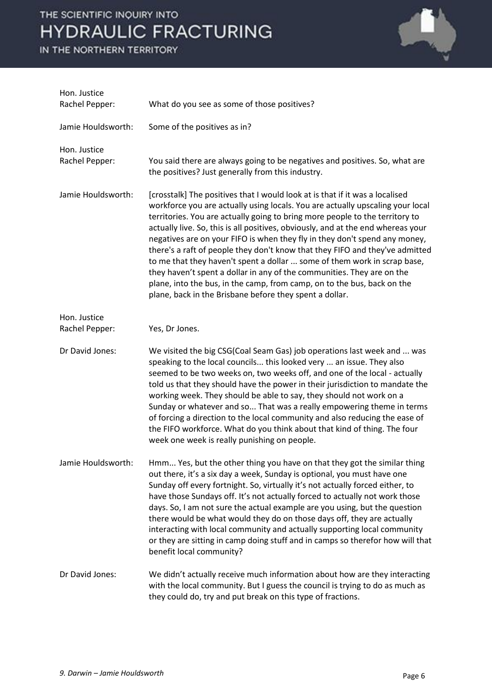

| Hon. Justice<br>Rachel Pepper: | What do you see as some of those positives?                                                                                                                                                                                                                                                                                                                                                                                                                                                                                                                                                                                                                                                                                                                                                  |
|--------------------------------|----------------------------------------------------------------------------------------------------------------------------------------------------------------------------------------------------------------------------------------------------------------------------------------------------------------------------------------------------------------------------------------------------------------------------------------------------------------------------------------------------------------------------------------------------------------------------------------------------------------------------------------------------------------------------------------------------------------------------------------------------------------------------------------------|
| Jamie Houldsworth:             | Some of the positives as in?                                                                                                                                                                                                                                                                                                                                                                                                                                                                                                                                                                                                                                                                                                                                                                 |
| Hon. Justice<br>Rachel Pepper: | You said there are always going to be negatives and positives. So, what are<br>the positives? Just generally from this industry.                                                                                                                                                                                                                                                                                                                                                                                                                                                                                                                                                                                                                                                             |
| Jamie Houldsworth:             | [crosstalk] The positives that I would look at is that if it was a localised<br>workforce you are actually using locals. You are actually upscaling your local<br>territories. You are actually going to bring more people to the territory to<br>actually live. So, this is all positives, obviously, and at the end whereas your<br>negatives are on your FIFO is when they fly in they don't spend any money,<br>there's a raft of people they don't know that they FIFO and they've admitted<br>to me that they haven't spent a dollar  some of them work in scrap base,<br>they haven't spent a dollar in any of the communities. They are on the<br>plane, into the bus, in the camp, from camp, on to the bus, back on the<br>plane, back in the Brisbane before they spent a dollar. |
| Hon. Justice<br>Rachel Pepper: | Yes, Dr Jones.                                                                                                                                                                                                                                                                                                                                                                                                                                                                                                                                                                                                                                                                                                                                                                               |
| Dr David Jones:                | We visited the big CSG(Coal Seam Gas) job operations last week and  was<br>speaking to the local councils this looked very  an issue. They also<br>seemed to be two weeks on, two weeks off, and one of the local - actually<br>told us that they should have the power in their jurisdiction to mandate the<br>working week. They should be able to say, they should not work on a<br>Sunday or whatever and so That was a really empowering theme in terms<br>of forcing a direction to the local community and also reducing the ease of<br>the FIFO workforce. What do you think about that kind of thing. The four<br>week one week is really punishing on people.                                                                                                                      |
| Jamie Houldsworth:             | Hmm Yes, but the other thing you have on that they got the similar thing<br>out there, it's a six day a week, Sunday is optional, you must have one<br>Sunday off every fortnight. So, virtually it's not actually forced either, to<br>have those Sundays off. It's not actually forced to actually not work those<br>days. So, I am not sure the actual example are you using, but the question<br>there would be what would they do on those days off, they are actually<br>interacting with local community and actually supporting local community<br>or they are sitting in camp doing stuff and in camps so therefor how will that<br>benefit local community?                                                                                                                        |
| Dr David Jones:                | We didn't actually receive much information about how are they interacting<br>with the local community. But I guess the council is trying to do as much as<br>they could do, try and put break on this type of fractions.                                                                                                                                                                                                                                                                                                                                                                                                                                                                                                                                                                    |